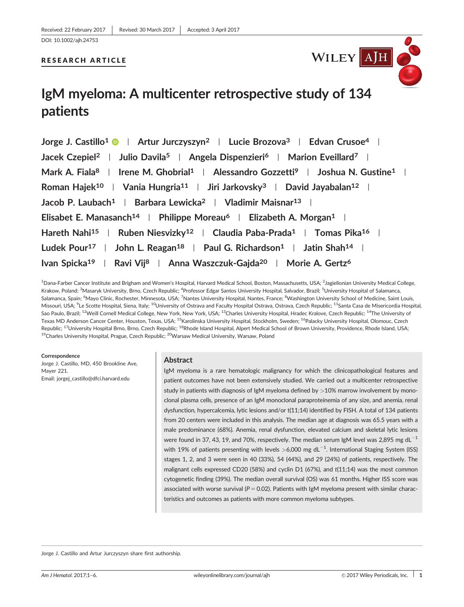### RESEARCH ARTICLE



# IgM myeloma: A multicenter retrospective study of 134 patients

Jorge J. Castillo<sup>1</sup>  $\bullet$  | Artur Jurczyszyn<sup>2</sup> | Lucie Brozova<sup>3</sup> | Edvan Crusoe<sup>4</sup> | Jacek Czepiel<sup>2</sup> | Julio Davila<sup>5</sup> | Angela Dispenzieri<sup>6</sup> | Marion Eveillard<sup>7</sup> | Mark A. Fiala<sup>8</sup> | Irene M. Ghobrial<sup>1</sup> | Alessandro Gozzetti<sup>9</sup> | Joshua N. Gustine<sup>1</sup> | Roman Hajek<sup>10</sup> | Vania Hungria<sup>11</sup> | Jiri Jarkovsky<sup>3</sup> | David Jayabalan<sup>12</sup> | Jacob P. Laubach<sup>1</sup> | Barbara Lewicka<sup>2</sup> | Vladimir Maisnar<sup>13</sup> | Elisabet E. Manasanch<sup>14</sup> | Philippe Moreau<sup>6</sup> | Elizabeth A. Morgan<sup>1</sup> | Hareth Nahi<sup>15</sup> | Ruben Niesvizky<sup>12</sup> | Claudia Paba-Prada<sup>1</sup> | Tomas Pika<sup>16</sup> | Ludek Pour<sup>17</sup> | John L. Reagan<sup>18</sup> | Paul G. Richardson<sup>1</sup> | Jatin Shah<sup>14</sup> | Ivan Spicka<sup>19</sup> | Ravi Vij<sup>8</sup> | Anna Waszczuk-Gajda<sup>20</sup> | Morie A. Gertz<sup>6</sup>

<sup>1</sup>Dana-Farber Cancer Institute and Brigham and Women's Hospital, Harvard Medical School, Boston, Massachusetts, USA; <sup>2</sup>Jagiellonian University Medical College, Krakow, Poland; <sup>3</sup>Masaryk University, Brno, Czech Republic; <sup>4</sup>Professor Edgar Santos University Hospital, Salvador, Brazil; <sup>5</sup>University Hospital of Salamanca, Salamanca, Spain; <sup>6</sup>Mayo Clinic, Rochester, Minnesota, USA; <sup>7</sup>Nantes University Hospital, Nantes, France; <sup>8</sup>Washington University School of Medicine, Saint Louis, Missouri, USA; <sup>9</sup>Le Scotte Hospital, Siena, Italy; <sup>10</sup>University of Ostrava and Faculty Hospital Ostrava, Ostrava, Czech Republic; <sup>11</sup>Santa Casa de Misericordia Hospital, Sao Paulo, Brazil; <sup>12</sup>Weill Cornell Medical College, New York, New York, USA; <sup>13</sup>Charles University Hospital, Hradec Kralove, Czech Republic; <sup>14</sup>The University of Texas MD Anderson Cancer Center, Houston, Texas, USA; <sup>15</sup>Karolinska University Hospital, Stockholm, Sweden; <sup>16</sup>Palacky University Hospital, Olomouc, Czech Republic; <sup>17</sup>University Hospital Brno, Brno, Czech Republic; <sup>18</sup>Rhode Island Hospital, Alpert Medical School of Brown University, Providence, Rhode Island, USA; <sup>19</sup>Charles University Hospital, Prague, Czech Republic; <sup>20</sup>Warsaw Medical University, Warsaw, Poland

Correspondence Jorge J. Castillo, MD, 450 Brookline Ave, Mayer 221 Email: jorgej\_castillo@dfci.harvard.edu

#### Abstract

IgM myeloma is a rare hematologic malignancy for which the clinicopathological features and patient outcomes have not been extensively studied. We carried out a multicenter retrospective study in patients with diagnosis of IgM myeloma defined by  $>10\%$  marrow involvement by monoclonal plasma cells, presence of an IgM monoclonal paraproteinemia of any size, and anemia, renal dysfunction, hypercalcemia, lytic lesions and/or t(11;14) identified by FISH. A total of 134 patients from 20 centers were included in this analysis. The median age at diagnosis was 65.5 years with a male predominance (68%). Anemia, renal dysfunction, elevated calcium and skeletal lytic lesions were found in 37, 43, 19, and 70%, respectively. The median serum IgM level was 2,895 mg dL<sup>-1</sup> with 19% of patients presenting with levels  $>$ 6,000 mg dL $^{-1}$ . International Staging System (ISS) stages 1, 2, and 3 were seen in 40 (33%), 54 (44%), and 29 (24%) of patients, respectively. The malignant cells expressed CD20 (58%) and cyclin D1 (67%), and t(11;14) was the most common cytogenetic finding (39%). The median overall survival (OS) was 61 months. Higher ISS score was associated with worse survival ( $P = 0.02$ ). Patients with IgM myeloma present with similar characteristics and outcomes as patients with more common myeloma subtypes.

Jorge J. Castillo and Artur Jurczyszyn share first authorship.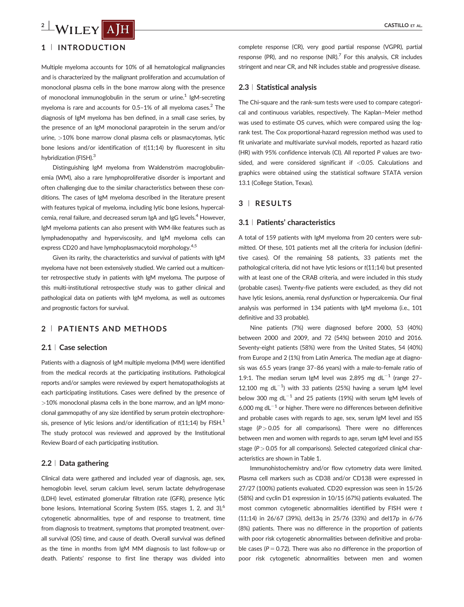## 1 <sup>|</sup> INTRODUCTION

Multiple myeloma accounts for 10% of all hematological malignancies and is characterized by the malignant proliferation and accumulation of monoclonal plasma cells in the bone marrow along with the presence of monoclonal immunoglobulin in the serum or urine.<sup>1</sup> IgM-secreting myeloma is rare and accounts for  $0.5-1%$  of all myeloma cases.<sup>2</sup> The diagnosis of IgM myeloma has ben defined, in a small case series, by the presence of an IgM monoclonal paraprotein in the serum and/or urine, >10% bone marrow clonal plasma cells or plasmacytomas, lytic bone lesions and/or identification of  $t(11;14)$  by fluorescent in situ hybridization (FISH).<sup>3</sup>

Distinguishing IgM myeloma from Waldenström macroglobulinemia (WM), also a rare lymphoproliferative disorder is important and often challenging due to the similar characteristics between these conditions. The cases of IgM myeloma described in the literature present with features typical of myeloma, including lytic bone lesions, hypercalcemia, renal failure, and decreased serum IgA and IgG levels.<sup>4</sup> However, IgM myeloma patients can also present with WM-like features such as lymphadenopathy and hyperviscosity, and IgM myeloma cells can express CD20 and have lymphoplasmacytoid morphology.<sup>4,5</sup>

Given its rarity, the characteristics and survival of patients with IgM myeloma have not been extensively studied. We carried out a multicenter retrospective study in patients with IgM myeloma. The purpose of this multi-institutional retrospective study was to gather clinical and pathological data on patients with IgM myeloma, as well as outcomes and prognostic factors for survival.

#### 2 <sup>|</sup> PATIENTS AND METHODS

#### 2.1 <sup>|</sup> Case selection

Patients with a diagnosis of IgM multiple myeloma (MM) were identified from the medical records at the participating institutions. Pathological reports and/or samples were reviewed by expert hematopathologists at each participating institutions. Cases were defined by the presence of  $>10\%$  monoclonal plasma cells in the bone marrow, and an IgM monoclonal gammopathy of any size identified by serum protein electrophoresis, presence of lytic lesions and/or identification of  $t(11;14)$  by FISH.<sup>1</sup> The study protocol was reviewed and approved by the Institutional Review Board of each participating institution.

#### 2.2 <sup>|</sup> Data gathering

Clinical data were gathered and included year of diagnosis, age, sex, hemoglobin level, serum calcium level, serum lactate dehydrogenase (LDH) level, estimated glomerular filtration rate (GFR), presence lytic bone lesions, International Scoring System (ISS, stages 1, 2, and 3),<sup>6</sup> cytogenetic abnormalities, type of and response to treatment, time from diagnosis to treatment, symptoms that prompted treatment, overall survival (OS) time, and cause of death. Overall survival was defined as the time in months from IgM MM diagnosis to last follow-up or death. Patients' response to first line therapy was divided into

complete response (CR), very good partial response (VGPR), partial response (PR), and no response (NR).<sup>7</sup> For this analysis, CR includes stringent and near CR, and NR includes stable and progressive disease.

#### 2.3 <sup>|</sup> Statistical analysis

The Chi-square and the rank-sum tests were used to compare categorical and continuous variables, respectively. The Kaplan–Meier method was used to estimate OS curves, which were compared using the logrank test. The Cox proportional-hazard regression method was used to fit univariate and multivariate survival models, reported as hazard ratio (HR) with 95% confidence intervals (CI). All reported P values are twosided, and were considered significant if  $<$  0.05. Calculations and graphics were obtained using the statistical software STATA version 13.1 (College Station, Texas).

#### 3 <sup>|</sup> RESULTS

#### 3.1 <sup>|</sup> Patients' characteristics

A total of 159 patients with IgM myeloma from 20 centers were submitted. Of these, 101 patients met all the criteria for inclusion (definitive cases). Of the remaining 58 patients, 33 patients met the pathological criteria, did not have lytic lesions or t(11;14) but presented with at least one of the CRAB criteria, and were included in this study (probable cases). Twenty-five patients were excluded, as they did not have lytic lesions, anemia, renal dysfunction or hypercalcemia. Our final analysis was performed in 134 patients with IgM myeloma (i.e., 101 definitive and 33 probable).

Nine patients (7%) were diagnosed before 2000, 53 (40%) between 2000 and 2009, and 72 (54%) between 2010 and 2016. Seventy-eight patients (58%) were from the United States, 54 (40%) from Europe and 2 (1%) from Latin America. The median age at diagnosis was 65.5 years (range 37–86 years) with a male-to-female ratio of 1.9:1. The median serum IgM level was 2,895 mg  $dL^{-1}$  (range 27-12,100 mg  $dL^{-1}$ ) with 33 patients (25%) having a serum IgM level below 300 mg dL<sup>-1</sup> and 25 patients (19%) with serum IgM levels of 6,000 mg  $dL^{-1}$  or higher. There were no differences between definitive and probable cases with regards to age, sex, serum IgM level and ISS stage ( $P > 0.05$  for all comparisons). There were no differences between men and women with regards to age, serum IgM level and ISS stage ( $P > 0.05$  for all comparisons). Selected categorized clinical characteristics are shown in Table 1.

Immunohistochemistry and/or flow cytometry data were limited. Plasma cell markers such as CD38 and/or CD138 were expressed in 27/27 (100%) patients evaluated. CD20 expression was seen in 15/26 (58%) and cyclin D1 expression in 10/15 (67%) patients evaluated. The most common cytogenetic abnormalities identified by FISH were t (11;14) in 26/67 (39%), del13q in 25/76 (33%) and del17p in 6/76 (8%) patients. There was no difference in the proportion of patients with poor risk cytogenetic abnormalities between definitive and probable cases ( $P = 0.72$ ). There was also no difference in the proportion of poor risk cytogenetic abnormalities between men and women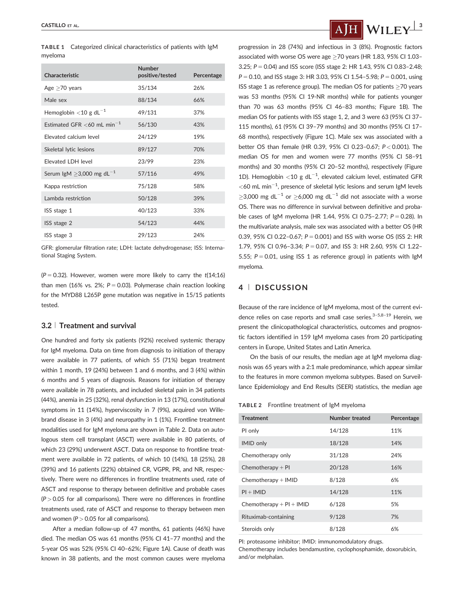| Characteristic                            | Number<br>positive/tested | Percentage |
|-------------------------------------------|---------------------------|------------|
| Age $\geq$ 70 years                       | 35/134                    | 26%        |
| Male sex                                  | 88/134                    | 66%        |
| Hemoglobin $<$ 10 g dL <sup>-1</sup>      | 49/131                    | 37%        |
| Estimated GFR $<$ 60 mL min <sup>-1</sup> | 56/130                    | 43%        |
| Flevated calcium level                    | 24/129                    | 19%        |
| Skeletal lytic lesions                    | 89/127                    | 70%        |
| Flevated I DH level                       | 23/99                     | 23%        |
| Serum IgM $>$ 3,000 mg dL <sup>-1</sup>   | 57/116                    | 49%        |
| Kappa restriction                         | 75/128                    | 58%        |
| Lambda restriction                        | 50/128                    | 39%        |
| ISS stage 1                               | 40/123                    | 33%        |
| ISS stage 2                               | 54/123                    | 44%        |
| ISS stage 3                               | 29/123                    | 24%        |

TABLE 1 Categorized clinical characteristics of patients with IgM myeloma

GFR: glomerular filtration rate; LDH: lactate dehydrogenase; ISS: International Staging System.

 $(P = 0.32)$ . However, women were more likely to carry the  $t(14;16)$ than men (16% vs. 2%;  $P = 0.03$ ). Polymerase chain reaction looking for the MYD88 L265P gene mutation was negative in 15/15 patients tested.

#### 3.2 <sup>|</sup> Treatment and survival

One hundred and forty six patients (92%) received systemic therapy for IgM myeloma. Data on time from diagnosis to initiation of therapy were available in 77 patients, of which 55 (71%) began treatment within 1 month, 19 (24%) between 1 and 6 months, and 3 (4%) within 6 months and 5 years of diagnosis. Reasons for initiation of therapy were available in 78 patients, and included skeletal pain in 34 patients (44%), anemia in 25 (32%), renal dysfunction in 13 (17%), constitutional symptoms in 11 (14%), hyperviscosity in 7 (9%), acquired von Willebrand disease in 3 (4%) and neuropathy in 1 (1%). Frontline treatment modalities used for IgM myeloma are shown in Table 2. Data on autologous stem cell transplant (ASCT) were available in 80 patients, of which 23 (29%) underwent ASCT. Data on response to frontline treatment were available in 72 patients, of which 10 (14%), 18 (25%), 28 (39%) and 16 patients (22%) obtained CR, VGPR, PR, and NR, respectively. There were no differences in frontline treatments used, rate of ASCT and response to therapy between definitive and probable cases  $(P > 0.05$  for all comparisons). There were no differences in frontline treatments used, rate of ASCT and response to therapy between men and women ( $P > 0.05$  for all comparisons).

After a median follow-up of 47 months, 61 patients (46%) have died. The median OS was 61 months (95% CI 41–77 months) and the 5-year OS was 52% (95% CI 40–62%; Figure 1A). Cause of death was known in 38 patients, and the most common causes were myeloma progression in 28 (74%) and infectious in 3 (8%). Prognostic factors associated with worse OS were age 70 years (HR 1.83, 95% CI 1.03– 3.25;  $P = 0.04$ ) and ISS score (ISS stage 2: HR 1.43, 95% CI 0.83-2.48;  $P = 0.10$ , and ISS stage 3: HR 3.03, 95% CI 1.54–5.98;  $P = 0.001$ , using ISS stage 1 as reference group). The median OS for patients  $\geq$  70 years was 53 months (95% CI 19-NR months) while for patients younger than 70 was 63 months (95% CI 46–83 months; Figure 1B). The median OS for patients with ISS stage 1, 2, and 3 were 63 (95% CI 37– 115 months), 61 (95% CI 39–79 months) and 30 months (95% CI 17– 68 months), respectively (Figure 1C). Male sex was associated with a better OS than female (HR 0.39, 95% CI 0.23–0.67; P < 0.001). The median OS for men and women were 77 months (95% CI 58–91 months) and 30 months (95% CI 20–52 months), respectively (Figure 1D). Hemoglobin <10 g dL<sup>-1</sup>, elevated calcium level, estimated GFR  $<$  60 mL min<sup>-1</sup>, presence of skeletal lytic lesions and serum IgM levels >3,000 mg dL<sup>-1</sup> or >6,000 mg dL<sup>-1</sup> did not associate with a worse OS. There was no difference in survival between definitive and probable cases of IgM myeloma (HR 1.44, 95% CI 0.75-2.77;  $P = 0.28$ ). In the multivariate analysis, male sex was associated with a better OS (HR 0.39, 95% CI 0.22-0.67;  $P = 0.001$ ) and ISS with worse OS (ISS 2: HR 1.79, 95% CI 0.96-3.34;  $P = 0.07$ , and ISS 3: HR 2.60, 95% CI 1.22-5.55;  $P = 0.01$ , using ISS 1 as reference group) in patients with IgM myeloma.

#### 4 <sup>|</sup> DISCUSSION

Because of the rare incidence of IgM myeloma, most of the current evidence relies on case reports and small case series. $3-5,8-19$  Herein, we present the clinicopathological characteristics, outcomes and prognostic factors identified in 159 IgM myeloma cases from 20 participating centers in Europe, United States and Latin America.

On the basis of our results, the median age at IgM myeloma diagnosis was 65 years with a 2:1 male predominance, which appear similar to the features in more common myeloma subtypes. Based on Surveillance Epidemiology and End Results (SEER) statistics, the median age

#### TABLE 2 Frontline treatment of IgM myeloma

| <b>Treatment</b>             | Number treated | Percentage |
|------------------------------|----------------|------------|
| PI only                      | 14/128         | 11%        |
| <b>IMID only</b>             | 18/128         | 14%        |
| Chemotherapy only            | 31/128         | 24%        |
| Chemotherapy $+$ Pl          | 20/128         | 16%        |
| Chemotherapy $+$ IMID        | 8/128          | 6%         |
| $PI + IMID$                  | 14/128         | 11%        |
| Chemotherapy $+$ PI $+$ IMID | 6/128          | 5%         |
| Rituximab-containing         | 9/128          | 7%         |
| Steroids only                | 8/128          | 6%         |

PI: proteasome inhibitor; IMID: immunomodulatory drugs.

Chemotherapy includes bendamustine, cyclophosphamide, doxorubicin, and/or melphalan.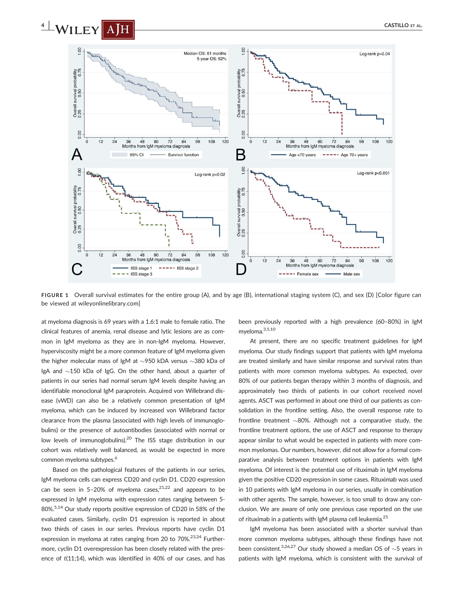

FIGURE 1 Overall survival estimates for the entire group (A), and by age (B), international staging system (C), and sex (D) [Color figure can be viewed at [wileyonlinelibrary.com\]](http://wileyonlinelibrary.com)

at myeloma diagnosis is 69 years with a 1.6:1 male to female ratio. The clinical features of anemia, renal disease and lytic lesions are as common in IgM myeloma as they are in non-IgM myeloma. However, hyperviscosity might be a more common feature of IgM myeloma given the higher molecular mass of IgM at  $\sim$ 950 kDA versus  $\sim$ 380 kDa of IgA and  $\sim$ 150 kDa of IgG. On the other hand, about a quarter of patients in our series had normal serum IgM levels despite having an identifiable monoclonal IgM paraprotein. Acquired von Willebrand disease (vWD) can also be a relatively common presentation of IgM myeloma, which can be induced by increased von Willebrand factor clearance from the plasma (associated with high levels of immunoglobulins) or the presence of autoantibodies (associated with normal or low levels of immunoglobulins).<sup>20</sup> The ISS stage distribution in our cohort was relatively well balanced, as would be expected in more common myeloma subtypes.<sup>6</sup>

Based on the pathological features of the patients in our series, IgM myeloma cells can express CD20 and cyclin D1. CD20 expression can be seen in 5–20% of myeloma cases.<sup>21,22</sup> and appears to be expressed in IgM myeloma with expression rates ranging between 5- 80%.5,14 Our study reports positive expression of CD20 in 58% of the evaluated cases. Similarly, cyclin D1 expression is reported in about two thirds of cases in our series. Previous reports have cyclin D1 expression in myeloma at rates ranging from 20 to 70%.<sup>23,24</sup> Furthermore, cyclin D1 overexpression has been closely related with the presence of t(11;14), which was identified in 40% of our cases, and has been previously reported with a high prevalence (60–80%) in IgM myeloma.3,5,10

At present, there are no specific treatment guidelines for IgM myeloma. Our study findings support that patients with IgM myeloma are treated similarly and have similar response and survival rates than patients with more common myeloma subtypes. As expected, over 80% of our patients began therapy within 3 months of diagnosis, and approximately two thirds of patients in our cohort received novel agents. ASCT was performed in about one third of our patients as consolidation in the frontline setting. Also, the overall response rate to frontline treatment  $\sim$ 80%. Although not a comparative study, the frontline treatment options, the use of ASCT and response to therapy appear similar to what would be expected in patients with more common myelomas. Our numbers, however, did not allow for a formal comparative analysis between treatment options in patients with IgM myeloma. Of interest is the potential use of rituximab in IgM myeloma given the positive CD20 expression in some cases. Rituximab was used in 10 patients with IgM myeloma in our series, usually in combination with other agents. The sample, however, is too small to draw any conclusion. We are aware of only one previous case reported on the use of rituximab in a patients with IgM plasma cell leukemia.<sup>25</sup>

IgM myeloma has been associated with a shorter survival than more common myeloma subtypes, although these findings have not been consistent.<sup>3,26,27</sup> Our study showed a median OS of  $\sim$  5 years in patients with IgM myeloma, which is consistent with the survival of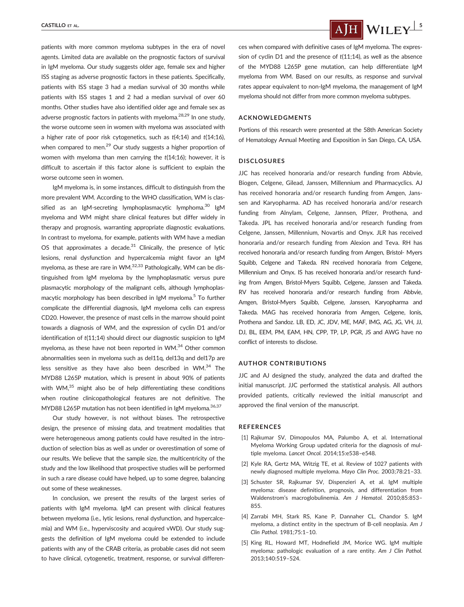patients with more common myeloma subtypes in the era of novel agents. Limited data are available on the prognostic factors of survival in IgM myeloma. Our study suggests older age, female sex and higher ISS staging as adverse prognostic factors in these patients. Specifically, patients with ISS stage 3 had a median survival of 30 months while patients with ISS stages 1 and 2 had a median survival of over 60 months. Other studies have also identified older age and female sex as adverse prognostic factors in patients with myeloma.<sup>28,29</sup> In one study, the worse outcome seen in women with myeloma was associated with a higher rate of poor risk cytogenetics, such as  $t(4;14)$  and  $t(14;16)$ , when compared to men.<sup>29</sup> Our study suggests a higher proportion of women with myeloma than men carrying the t(14;16); however, it is difficult to ascertain if this factor alone is sufficient to explain the worse outcome seen in women.

IgM myeloma is, in some instances, difficult to distinguish from the more prevalent WM. According to the WHO classification, WM is classified as an IgM-secreting lymphoplasmacytic lymphoma.<sup>30</sup> IgM myeloma and WM might share clinical features but differ widely in therapy and prognosis, warranting appropriate diagnostic evaluations. In contrast to myeloma, for example, patients with WM have a median OS that approximates a decade. $31$  Clinically, the presence of lytic lesions, renal dysfunction and hypercalcemia might favor an IgM myeloma, as these are rare in WM. $32,33$  Pathologically, WM can be distinguished from IgM myeloma by the lymphoplasmatic versus pure plasmacytic morphology of the malignant cells, although lymphoplasmacytic morphology has been described in IgM myeloma.<sup>5</sup> To further complicate the differential diagnosis, IgM myeloma cells can express CD20. However, the presence of mast cells in the marrow should point towards a diagnosis of WM, and the expression of cyclin D1 and/or identification of t(11;14) should direct our diagnostic suspicion to IgM myeloma, as these have not been reported in WM.<sup>34</sup> Other common abnormalities seen in myeloma such as del11q, del13q and del17p are less sensitive as they have also been described in WM.<sup>34</sup> The MYD88 L265P mutation, which is present in about 90% of patients with WM,<sup>35</sup> might also be of help differentiating these conditions when routine clinicopathological features are not definitive. The MYD88 L265P mutation has not been identified in IgM myeloma.<sup>36,37</sup>

Our study however, is not without biases. The retrospective design, the presence of missing data, and treatment modalities that were heterogeneous among patients could have resulted in the introduction of selection bias as well as under or overestimation of some of our results. We believe that the sample size, the multicentricity of the study and the low likelihood that prospective studies will be performed in such a rare disease could have helped, up to some degree, balancing out some of these weaknesses.

In conclusion, we present the results of the largest series of patients with IgM myeloma. IgM can present with clinical features between myeloma (i.e., lytic lesions, renal dysfunction, and hypercalcemia) and WM (i.e., hyperviscosity and acquired vWD). Our study suggests the definition of IgM myeloma could be extended to include patients with any of the CRAB criteria, as probable cases did not seem to have clinical, cytogenetic, treatment, response, or survival differen-



ces when compared with definitive cases of IgM myeloma. The expression of cyclin D1 and the presence of t(11;14), as well as the absence of the MYD88 L265P gene mutation, can help differentiate IgM myeloma from WM. Based on our results, as response and survival rates appear equivalent to non-IgM myeloma, the management of IgM myeloma should not differ from more common myeloma subtypes.

#### ACKNOWLEDGMENTS

Portions of this research were presented at the 58th American Society of Hematology Annual Meeting and Exposition in San Diego, CA, USA.

#### DISCLOSURES

JJC has received honoraria and/or research funding from Abbvie, Biogen, Celgene, Gilead, Janssen, Millennium and Pharmacyclics. AJ has received honoraria and/or research funding from Amgen, Janssen and Karyopharma. AD has received honoraria and/or research funding from Alnylam, Celgene, Jannsen, Pfizer, Prothena, and Takeda. JPL has received honoraria and/or research funding from Celgene, Janssen, Millennium, Novartis and Onyx. JLR has received honoraria and/or research funding from Alexion and Teva. RH has received honoraria and/or research funding from Amgen, Bristol- Myers Squibb, Celgene and Takeda. RN received honoraria from Celgene, Millennium and Onyx. IS has received honoraria and/or research funding from Amgen, Bristol-Myers Squibb, Celgene, Janssen and Takeda. RV has received honoraria and/or research funding from Abbvie, Amgen, Bristol-Myers Squibb, Celgene, Janssen, Karyopharma and Takeda. MAG has received honoraria from Amgen, Celgene, Ionis, Prothena and Sandoz. LB, ED, JC, JDV, ME, MAF, IMG, AG, JG, VH, JJ, DJ, BL, EEM, PM, EAM, HN, CPP, TP, LP, PGR, JS and AWG have no conflict of interests to disclose.

#### AUTHOR CONTRIBUTIONS

JJC and AJ designed the study, analyzed the data and drafted the initial manuscript. JJC performed the statistical analysis. All authors provided patients, critically reviewed the initial manuscript and approved the final version of the manuscript.

#### **REFERENCES**

- [1] Rajkumar SV, Dimopoulos MA, Palumbo A, et al. International Myeloma Working Group updated criteria for the diagnosis of multiple myeloma. Lancet Oncol. 2014;15:e538–e548.
- [2] Kyle RA, Gertz MA, Witzig TE, et al. Review of 1027 patients with newly diagnosed multiple myeloma. Mayo Clin Proc. 2003;78:21–33.
- [3] Schuster SR, Rajkumar SV, Dispenzieri A, et al. IgM multiple myeloma: disease definition, prognosis, and differentiation from Waldenstrom's macroglobulinemia. Am J Hematol. 2010;85:853– 855.
- [4] Zarrabi MH, Stark RS, Kane P, Dannaher CL, Chandor S. IgM myeloma, a distinct entity in the spectrum of B-cell neoplasia. Am J Clin Pathol. 1981;75:1–10.
- [5] King RL, Howard MT, Hodnefield JM, Morice WG. IgM multiple myeloma: pathologic evaluation of a rare entity. Am J Clin Pathol. 2013;140:519–524.